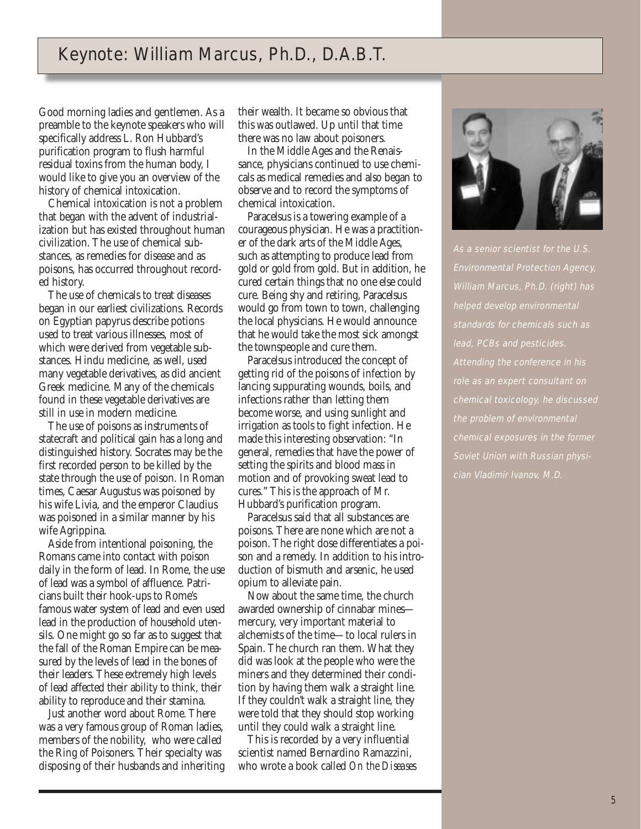## Keynote: William Marcus, Ph.D., D.A.B.T.

Good morning ladies and gentlemen. As a preamble to the keynote speakers who will specifically address L. Ron Hubbard's purification program to flush harmful residual toxins from the human body, I would like to give you an overview of the history of chemical intoxication.

Chemical intoxication is not a problem that began with the advent of industrialization but has existed throughout human civilization. The use of chemical substances, as remedies for disease and as poisons, has occurred throughout recorded history.

The use of chemicals to treat diseases began in our earliest civilizations. Records on Egyptian papyrus describe potions used to treat various illnesses, most of which were derived from vegetable substances. Hindu medicine, as well, used many vegetable derivatives, as did ancient Greek medicine. Many of the chemicals found in these vegetable derivatives are still in use in modern medicine.

The use of poisons as instruments of statecraft and political gain has a long and distinguished history. Socrates may be the first recorded person to be killed by the state through the use of poison. In Roman times, Caesar Augustus was poisoned by his wife Livia, and the emperor Claudius was poisoned in a similar manner by his wife Agrippina.

Aside from intentional poisoning, the Romans came into contact with poison daily in the form of lead. In Rome, the use of lead was a symbol of affluence. Patricians built their hook-ups to Rome's famous water system of lead and even used lead in the production of household utensils. One might go so far as to suggest that the fall of the Roman Empire can be measured by the levels of lead in the bones of their leaders. These extremely high levels of lead affected their ability to think, their ability to reproduce and their stamina.

Just another word about Rome. There was a very famous group of Roman ladies, members of the nobility, who were called the Ring of Poisoners. Their specialty was disposing of their husbands and inheriting their wealth. It became so obvious that this was outlawed. Up until that time there was no law about poisoners.

In the Middle Ages and the Renaissance, physicians continued to use chemicals as medical remedies and also began to observe and to record the symptoms of chemical intoxication.

Paracelsus is a towering example of a courageous physician. He was a practitioner of the dark arts of the Middle Ages, such as attempting to produce lead from gold or gold from gold. But in addition, he cured certain things that no one else could cure. Being shy and retiring, Paracelsus would go from town to town, challenging the local physicians. He would announce that he would take the most sick amongst the townspeople and cure them.

Paracelsus introduced the concept of getting rid of the poisons of infection by lancing suppurating wounds, boils, and infections rather than letting them become worse, and using sunlight and irrigation as tools to fight infection. He made this interesting observation: "In general, remedies that have the power of setting the spirits and blood mass in motion and of provoking sweat lead to cures." This is the approach of Mr. Hubbard's purification program.

Paracelsus said that all substances are poisons. There are none which are not a poison. The right dose differentiates a poison and a remedy. In addition to his introduction of bismuth and arsenic, he used opium to alleviate pain.

Now about the same time, the church awarded ownership of cinnabar mines mercury, very important material to alchemists of the time—to local rulers in Spain. The church ran them. What they did was look at the people who were the miners and they determined their condition by having them walk a straight line. If they couldn't walk a straight line, they were told that they should stop working until they could walk a straight line.

This is recorded by a very influential scientist named Bernardino Ramazzini, who wrote a book called *On the Diseases* 



As a senior scientist for the U.S. Environmental Protection Agency, William Marcus, Ph.D. (right) has helped develop environmental standards for chemicals such as lead, PCBs and pesticides. Attending the conference in his role as an expert consultant on chemical toxicology, he discussed the problem of environmental chemical exposures in the former Soviet Union with Russian physician Vladimir Ivanov, M.D.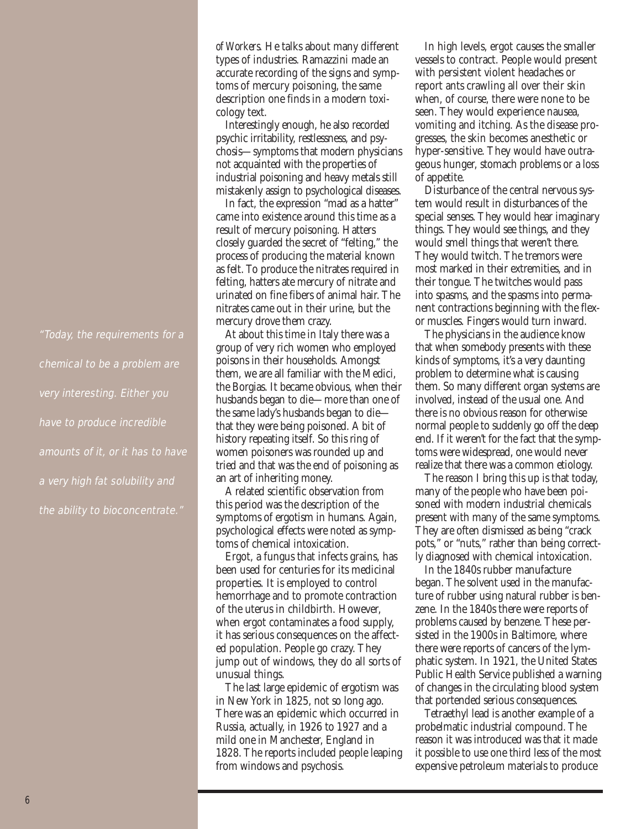"Today, the requirements for a chemical to be a problem are very interesting. Either you have to produce incredible amounts of it, or it has to have a very high fat solubility and the ability to bioconcentrate."

*of Workers.* He talks about many different types of industries. Ramazzini made an accurate recording of the signs and symptoms of mercury poisoning, the same description one finds in a modern toxicology text.

Interestingly enough, he also recorded psychic irritability, restlessness, and psychosis—symptoms that modern physicians not acquainted with the properties of industrial poisoning and heavy metals still mistakenly assign to psychological diseases.

In fact, the expression "mad as a hatter" came into existence around this time as a result of mercury poisoning. Hatters closely guarded the secret of "felting," the process of producing the material known as felt. To produce the nitrates required in felting, hatters ate mercury of nitrate and urinated on fine fibers of animal hair. The nitrates came out in their urine, but the mercury drove them crazy.

At about this time in Italy there was a group of very rich women who employed poisons in their households. Amongst them, we are all familiar with the Medici, the Borgias. It became obvious, when their husbands began to die—more than one of the same lady's husbands began to die that they were being poisoned. A bit of history repeating itself. So this ring of women poisoners was rounded up and tried and that was the end of poisoning as an art of inheriting money.

A related scientific observation from this period was the description of the symptoms of ergotism in humans. Again, psychological effects were noted as symptoms of chemical intoxication.

Ergot, a fungus that infects grains, has been used for centuries for its medicinal properties. It is employed to control hemorrhage and to promote contraction of the uterus in childbirth. However, when ergot contaminates a food supply, it has serious consequences on the affected population. People go crazy. They jump out of windows, they do all sorts of unusual things.

The last large epidemic of ergotism was in New York in 1825, not so long ago. There was an epidemic which occurred in Russia, actually, in 1926 to 1927 and a mild one in Manchester, England in 1828. The reports included people leaping from windows and psychosis.

In high levels, ergot causes the smaller vessels to contract. People would present with persistent violent headaches or report ants crawling all over their skin when, of course, there were none to be seen. They would experience nausea, vomiting and itching. As the disease progresses, the skin becomes anesthetic or hyper-sensitive. They would have outrageous hunger, stomach problems or a loss of appetite.

Disturbance of the central nervous system would result in disturbances of the special senses. They would hear imaginary things. They would see things, and they would smell things that weren't there. They would twitch. The tremors were most marked in their extremities, and in their tongue. The twitches would pass into spasms, and the spasms into permanent contractions beginning with the flexor muscles. Fingers would turn inward.

The physicians in the audience know that when somebody presents with these kinds of symptoms, it's a very daunting problem to determine what is causing them. So many different organ systems are involved, instead of the usual one. And there is no obvious reason for otherwise normal people to suddenly go off the deep end. If it weren't for the fact that the symptoms were widespread, one would never realize that there was a common etiology.

The reason I bring this up is that today, many of the people who have been poisoned with modern industrial chemicals present with many of the same symptoms. They are often dismissed as being "crack pots," or "nuts," rather than being correctly diagnosed with chemical intoxication.

In the 1840s rubber manufacture began. The solvent used in the manufacture of rubber using natural rubber is benzene. In the 1840s there were reports of problems caused by benzene. These persisted in the 1900s in Baltimore, where there were reports of cancers of the lymphatic system. In 1921, the United States Public Health Service published a warning of changes in the circulating blood system that portended serious consequences.

Tetraethyl lead is another example of a probelmatic industrial compound. The reason it was introduced was that it made it possible to use one third less of the most expensive petroleum materials to produce